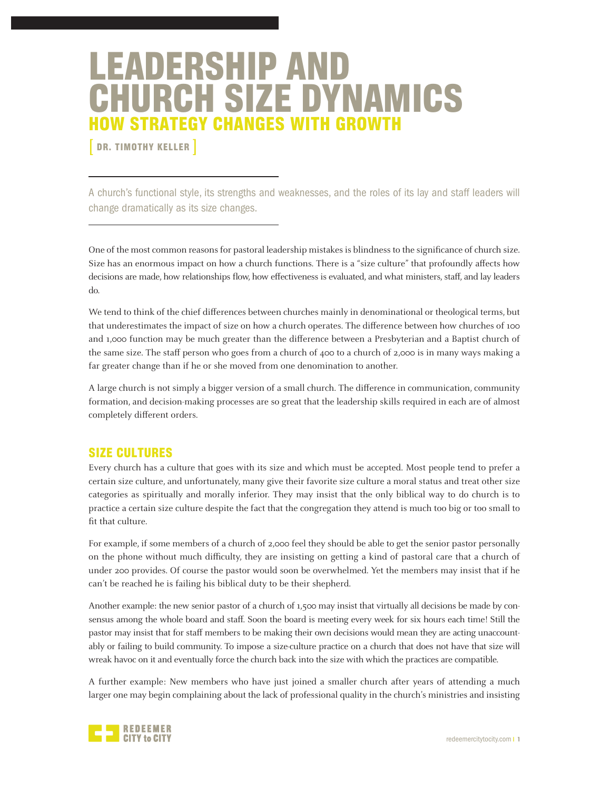# LEADERSHIP AND CHURCH SIZE DYNAMICS HOW STRATEGY CHANGES WITH GROWTH

DR. TIMOTHY KELLER

A church's functional style, its strengths and weaknesses, and the roles of its lay and staff leaders will change dramatically as its size changes.

One of the most common reasons for pastoral leadership mistakes is blindness to the significance of church size. Size has an enormous impact on how a church functions. There is a "size culture" that profoundly affects how decisions are made, how relationships flow, how effectiveness is evaluated, and what ministers, staff, and lay leaders do.

We tend to think of the chief differences between churches mainly in denominational or theological terms, but that underestimates the impact of size on how a church operates. The difference between how churches of 100 and 1,000 function may be much greater than the difference between a Presbyterian and a Baptist church of the same size. The staff person who goes from a church of 400 to a church of 2,000 is in many ways making a far greater change than if he or she moved from one denomination to another.

A large church is not simply a bigger version of a small church. The difference in communication, community formation, and decision-making processes are so great that the leadership skills required in each are of almost completely different orders.

# SIZE CULTURES

Every church has a culture that goes with its size and which must be accepted. Most people tend to prefer a certain size culture, and unfortunately, many give their favorite size culture a moral status and treat other size categories as spiritually and morally inferior. They may insist that the only biblical way to do church is to practice a certain size culture despite the fact that the congregation they attend is much too big or too small to fit that culture.

For example, if some members of a church of 2,000 feel they should be able to get the senior pastor personally on the phone without much difficulty, they are insisting on getting a kind of pastoral care that a church of under 200 provides. Of course the pastor would soon be overwhelmed. Yet the members may insist that if he can't be reached he is failing his biblical duty to be their shepherd.

Another example: the new senior pastor of a church of 1,500 may insist that virtually all decisions be made by consensus among the whole board and staff. Soon the board is meeting every week for six hours each time! Still the pastor may insist that for staff members to be making their own decisions would mean they are acting unaccountably or failing to build community. To impose a size-culture practice on a church that does not have that size will wreak havoc on it and eventually force the church back into the size with which the practices are compatible.

A further example: New members who have just joined a smaller church after years of attending a much larger one may begin complaining about the lack of professional quality in the church's ministries and insisting

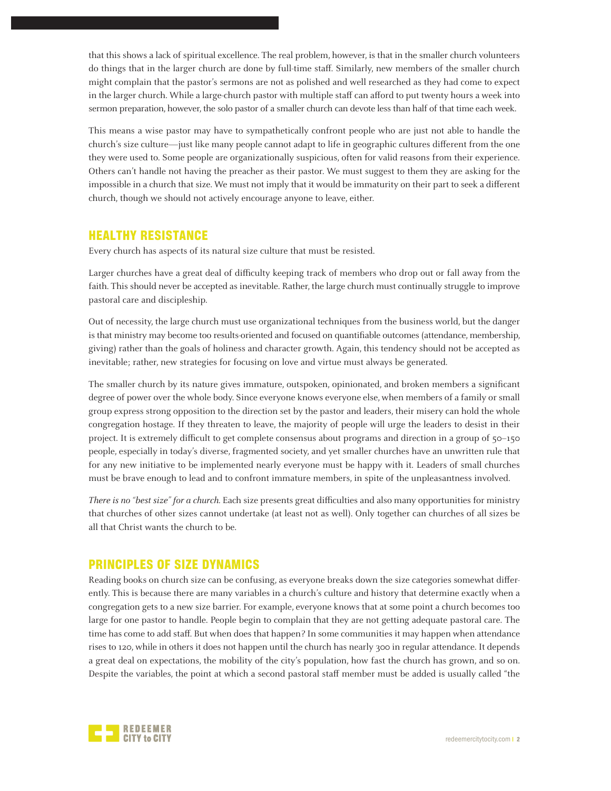that this shows a lack of spiritual excellence. The real problem, however, is that in the smaller church volunteers do things that in the larger church are done by full-time staff. Similarly, new members of the smaller church might complain that the pastor's sermons are not as polished and well researched as they had come to expect in the larger church. While a large-church pastor with multiple staff can afford to put twenty hours a week into sermon preparation, however, the solo pastor of a smaller church can devote less than half of that time each week.

This means a wise pastor may have to sympathetically confront people who are just not able to handle the church's size culture—just like many people cannot adapt to life in geographic cultures different from the one they were used to. Some people are organizationally suspicious, often for valid reasons from their experience. Others can't handle not having the preacher as their pastor. We must suggest to them they are asking for the impossible in a church that size. We must not imply that it would be immaturity on their part to seek a different church, though we should not actively encourage anyone to leave, either.

# HEALTHY RESISTANCE

Every church has aspects of its natural size culture that must be resisted.

Larger churches have a great deal of difficulty keeping track of members who drop out or fall away from the faith. This should never be accepted as inevitable. Rather, the large church must continually struggle to improve pastoral care and discipleship.

Out of necessity, the large church must use organizational techniques from the business world, but the danger is that ministry may become too results-oriented and focused on quantifiable outcomes (attendance, membership, giving) rather than the goals of holiness and character growth. Again, this tendency should not be accepted as inevitable; rather, new strategies for focusing on love and virtue must always be generated.

The smaller church by its nature gives immature, outspoken, opinionated, and broken members a significant degree of power over the whole body. Since everyone knows everyone else, when members of a family or small group express strong opposition to the direction set by the pastor and leaders, their misery can hold the whole congregation hostage. If they threaten to leave, the majority of people will urge the leaders to desist in their project. It is extremely difficult to get complete consensus about programs and direction in a group of 50–150 people, especially in today's diverse, fragmented society, and yet smaller churches have an unwritten rule that for any new initiative to be implemented nearly everyone must be happy with it. Leaders of small churches must be brave enough to lead and to confront immature members, in spite of the unpleasantness involved.

There is no "best size" for a church. Each size presents great difficulties and also many opportunities for ministry that churches of other sizes cannot undertake (at least not as well). Only together can churches of all sizes be all that Christ wants the church to be.

# PRINCIPLES OF SIZE DYNAMICS

Reading books on church size can be confusing, as everyone breaks down the size categories somewhat differently. This is because there are many variables in a church's culture and history that determine exactly when a congregation gets to a new size barrier. For example, everyone knows that at some point a church becomes too large for one pastor to handle. People begin to complain that they are not getting adequate pastoral care. The time has come to add staff. But when does that happen? In some communities it may happen when attendance rises to 120, while in others it does not happen until the church has nearly 300 in regular attendance. It depends a great deal on expectations, the mobility of the city's population, how fast the church has grown, and so on. Despite the variables, the point at which a second pastoral staff member must be added is usually called "the

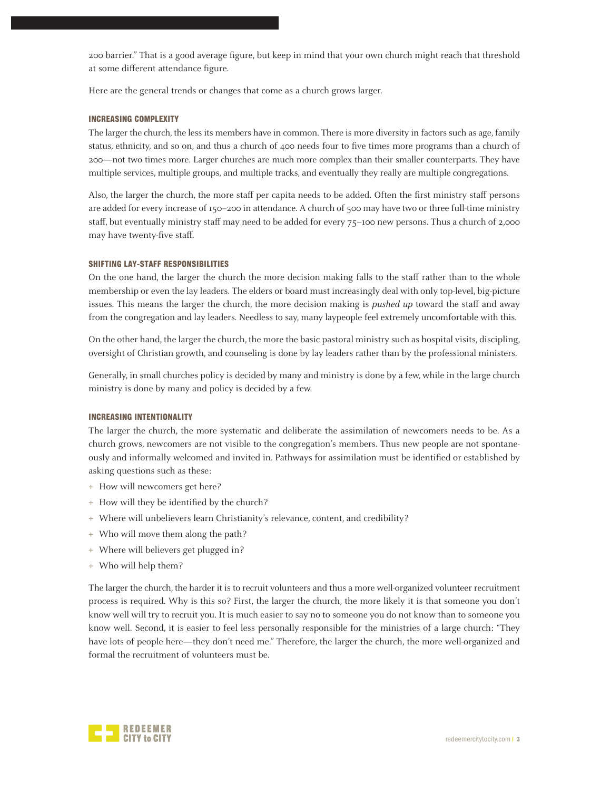200 barrier." That is a good average figure, but keep in mind that your own church might reach that threshold at some different attendance figure.

Here are the general trends or changes that come as a church grows larger.

## INCREASING COMPLEXITY

The larger the church, the less its members have in common. There is more diversity in factors such as age, family status, ethnicity, and so on, and thus a church of 400 needs four to five times more programs than a church of 200—not two times more. Larger churches are much more complex than their smaller counterparts. They have multiple services, multiple groups, and multiple tracks, and eventually they really are multiple congregations.

Also, the larger the church, the more staff per capita needs to be added. Often the first ministry staff persons are added for every increase of 150–200 in attendance. A church of 500 may have two or three full-time ministry staff, but eventually ministry staff may need to be added for every 75–100 new persons. Thus a church of 2,000 may have twenty-five staff.

## SHIFTING LAY-STAFF RESPONSIBILITIES

On the one hand, the larger the church the more decision making falls to the staff rather than to the whole membership or even the lay leaders. The elders or board must increasingly deal with only top-level, big-picture issues. This means the larger the church, the more decision making is *pushed up* toward the staff and away from the congregation and lay leaders. Needless to say, many laypeople feel extremely uncomfortable with this.

On the other hand, the larger the church, the more the basic pastoral ministry such as hospital visits, discipling, oversight of Christian growth, and counseling is done by lay leaders rather than by the professional ministers.

Generally, in small churches policy is decided by many and ministry is done by a few, while in the large church ministry is done by many and policy is decided by a few.

# INCREASING INTENTIONALITY

The larger the church, the more systematic and deliberate the assimilation of newcomers needs to be. As a church grows, newcomers are not visible to the congregation's members. Thus new people are not spontaneously and informally welcomed and invited in. Pathways for assimilation must be identified or established by asking questions such as these:

- **+** How will newcomers get here?
- **+** How will they be identified by the church?
- **+** Where will unbelievers learn Christianity's relevance, content, and credibility?
- **+** Who will move them along the path?
- **+** Where will believers get plugged in?
- **+** Who will help them?

The larger the church, the harder it is to recruit volunteers and thus a more well-organized volunteer recruitment process is required. Why is this so? First, the larger the church, the more likely it is that someone you don't know well will try to recruit you. It is much easier to say no to someone you do not know than to someone you know well. Second, it is easier to feel less personally responsible for the ministries of a large church: "They have lots of people here—they don't need me." Therefore, the larger the church, the more well-organized and formal the recruitment of volunteers must be.

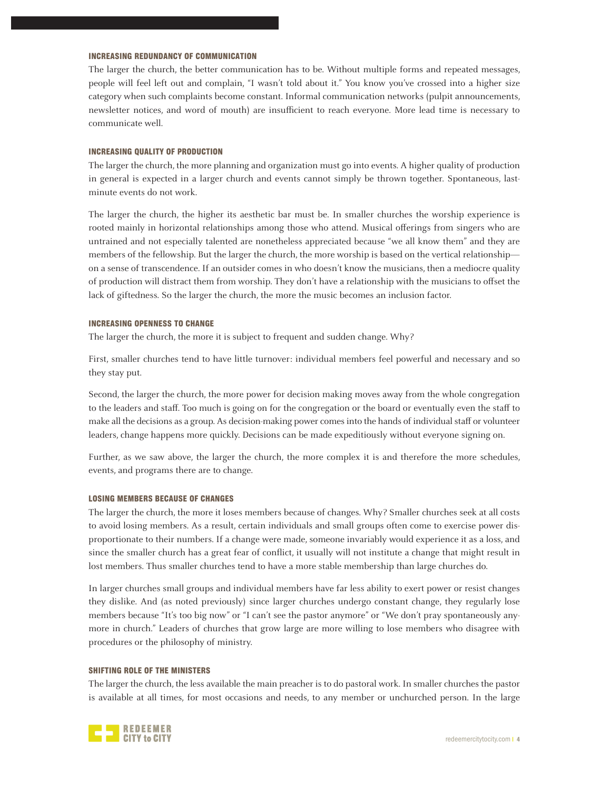# INCREASING REDUNDANCY OF COMMUNICATION

The larger the church, the better communication has to be. Without multiple forms and repeated messages, people will feel left out and complain, "I wasn't told about it." You know you've crossed into a higher size category when such complaints become constant. Informal communication networks (pulpit announcements, newsletter notices, and word of mouth) are insufficient to reach everyone. More lead time is necessary to communicate well.

#### INCREASING QUALITY OF PRODUCTION

The larger the church, the more planning and organization must go into events. A higher quality of production in general is expected in a larger church and events cannot simply be thrown together. Spontaneous, lastminute events do not work.

The larger the church, the higher its aesthetic bar must be. In smaller churches the worship experience is rooted mainly in horizontal relationships among those who attend. Musical offerings from singers who are untrained and not especially talented are nonetheless appreciated because "we all know them" and they are members of the fellowship. But the larger the church, the more worship is based on the vertical relationship on a sense of transcendence. If an outsider comes in who doesn't know the musicians, then a mediocre quality of production will distract them from worship. They don't have a relationship with the musicians to offset the lack of giftedness. So the larger the church, the more the music becomes an inclusion factor.

## INCREASING OPENNESS TO CHANGE

The larger the church, the more it is subject to frequent and sudden change. Why?

First, smaller churches tend to have little turnover: individual members feel powerful and necessary and so they stay put.

Second, the larger the church, the more power for decision making moves away from the whole congregation to the leaders and staff. Too much is going on for the congregation or the board or eventually even the staff to make all the decisions as a group. As decision-making power comes into the hands of individual staff or volunteer leaders, change happens more quickly. Decisions can be made expeditiously without everyone signing on.

Further, as we saw above, the larger the church, the more complex it is and therefore the more schedules, events, and programs there are to change.

# LOSING MEMBERS BECAUSE OF CHANGES

The larger the church, the more it loses members because of changes. Why? Smaller churches seek at all costs to avoid losing members. As a result, certain individuals and small groups often come to exercise power disproportionate to their numbers. If a change were made, someone invariably would experience it as a loss, and since the smaller church has a great fear of conflict, it usually will not institute a change that might result in lost members. Thus smaller churches tend to have a more stable membership than large churches do.

In larger churches small groups and individual members have far less ability to exert power or resist changes they dislike. And (as noted previously) since larger churches undergo constant change, they regularly lose members because "It's too big now" or "I can't see the pastor anymore" or "We don't pray spontaneously anymore in church." Leaders of churches that grow large are more willing to lose members who disagree with procedures or the philosophy of ministry.

# SHIFTING ROLE OF THE MINISTERS

The larger the church, the less available the main preacher is to do pastoral work. In smaller churches the pastor is available at all times, for most occasions and needs, to any member or unchurched person. In the large

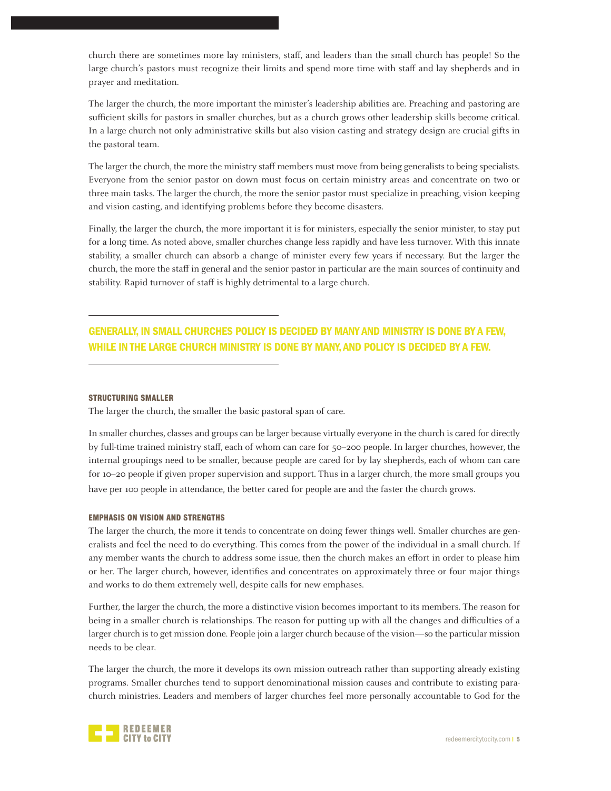church there are sometimes more lay ministers, staff, and leaders than the small church has people! So the large church's pastors must recognize their limits and spend more time with staff and lay shepherds and in prayer and meditation.

The larger the church, the more important the minister's leadership abilities are. Preaching and pastoring are sufficient skills for pastors in smaller churches, but as a church grows other leadership skills become critical. In a large church not only administrative skills but also vision casting and strategy design are crucial gifts in the pastoral team.

The larger the church, the more the ministry staff members must move from being generalists to being specialists. Everyone from the senior pastor on down must focus on certain ministry areas and concentrate on two or three main tasks. The larger the church, the more the senior pastor must specialize in preaching, vision keeping and vision casting, and identifying problems before they become disasters.

Finally, the larger the church, the more important it is for ministers, especially the senior minister, to stay put for a long time. As noted above, smaller churches change less rapidly and have less turnover. With this innate stability, a smaller church can absorb a change of minister every few years if necessary. But the larger the church, the more the staff in general and the senior pastor in particular are the main sources of continuity and stability. Rapid turnover of staff is highly detrimental to a large church.

# GENERALLY, IN SMALL CHURCHES POLICY IS DECIDED BY MANY AND MINISTRY IS DONE BY A FEW, WHILE IN THE LARGE CHURCH MINISTRY IS DONE BY MANY, AND POLICY IS DECIDED BY A FEW.

#### STRUCTURING SMALLER

The larger the church, the smaller the basic pastoral span of care.

In smaller churches, classes and groups can be larger because virtually everyone in the church is cared for directly by full-time trained ministry staff, each of whom can care for 50–200 people. In larger churches, however, the internal groupings need to be smaller, because people are cared for by lay shepherds, each of whom can care for 10–20 people if given proper supervision and support. Thus in a larger church, the more small groups you have per 100 people in attendance, the better cared for people are and the faster the church grows.

# EMPHASIS ON VISION AND STRENGTHS

The larger the church, the more it tends to concentrate on doing fewer things well. Smaller churches are generalists and feel the need to do everything. This comes from the power of the individual in a small church. If any member wants the church to address some issue, then the church makes an effort in order to please him or her. The larger church, however, identifies and concentrates on approximately three or four major things and works to do them extremely well, despite calls for new emphases.

Further, the larger the church, the more a distinctive vision becomes important to its members. The reason for being in a smaller church is relationships. The reason for putting up with all the changes and difficulties of a larger church is to get mission done. People join a larger church because of the vision—so the particular mission needs to be clear.

The larger the church, the more it develops its own mission outreach rather than supporting already existing programs. Smaller churches tend to support denominational mission causes and contribute to existing parachurch ministries. Leaders and members of larger churches feel more personally accountable to God for the

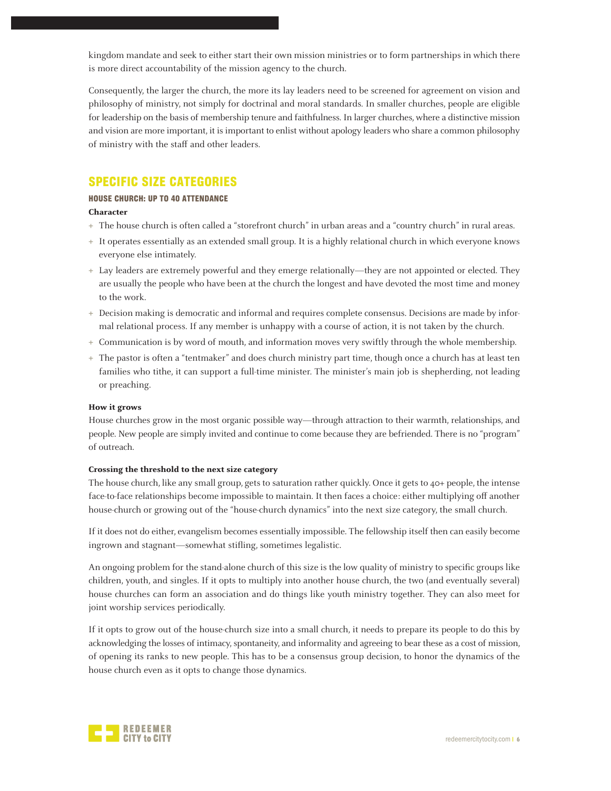kingdom mandate and seek to either start their own mission ministries or to form partnerships in which there is more direct accountability of the mission agency to the church.

Consequently, the larger the church, the more its lay leaders need to be screened for agreement on vision and philosophy of ministry, not simply for doctrinal and moral standards. In smaller churches, people are eligible for leadership on the basis of membership tenure and faithfulness. In larger churches, where a distinctive mission and vision are more important, it is important to enlist without apology leaders who share a common philosophy of ministry with the staff and other leaders.

# SPECIFIC SIZE CATEGORIES

# HOUSE CHURCH: UP TO 40 ATTENDANCE

## **Character**

- **+** The house church is often called a "storefront church" in urban areas and a "country church" in rural areas.
- **+** It operates essentially as an extended small group. It is a highly relational church in which everyone knows everyone else intimately.
- **+** Lay leaders are extremely powerful and they emerge relationally—they are not appointed or elected. They are usually the people who have been at the church the longest and have devoted the most time and money to the work.
- **+** Decision making is democratic and informal and requires complete consensus. Decisions are made by informal relational process. If any member is unhappy with a course of action, it is not taken by the church.
- **+** Communication is by word of mouth, and information moves very swiftly through the whole membership.
- **+** The pastor is often a "tentmaker" and does church ministry part time, though once a church has at least ten families who tithe, it can support a full-time minister. The minister's main job is shepherding, not leading or preaching.

# **How it grows**

House churches grow in the most organic possible way—through attraction to their warmth, relationships, and people. New people are simply invited and continue to come because they are befriended. There is no "program" of outreach.

# **Crossing the threshold to the next size category**

The house church, like any small group, gets to saturation rather quickly. Once it gets to 40+ people, the intense face-to-face relationships become impossible to maintain. It then faces a choice: either multiplying off another house-church or growing out of the "house-church dynamics" into the next size category, the small church.

If it does not do either, evangelism becomes essentially impossible. The fellowship itself then can easily become ingrown and stagnant—somewhat stifling, sometimes legalistic.

An ongoing problem for the stand-alone church of this size is the low quality of ministry to specific groups like children, youth, and singles. If it opts to multiply into another house church, the two (and eventually several) house churches can form an association and do things like youth ministry together. They can also meet for joint worship services periodically.

If it opts to grow out of the house-church size into a small church, it needs to prepare its people to do this by acknowledging the losses of intimacy, spontaneity, and informality and agreeing to bear these as a cost of mission, of opening its ranks to new people. This has to be a consensus group decision, to honor the dynamics of the house church even as it opts to change those dynamics.

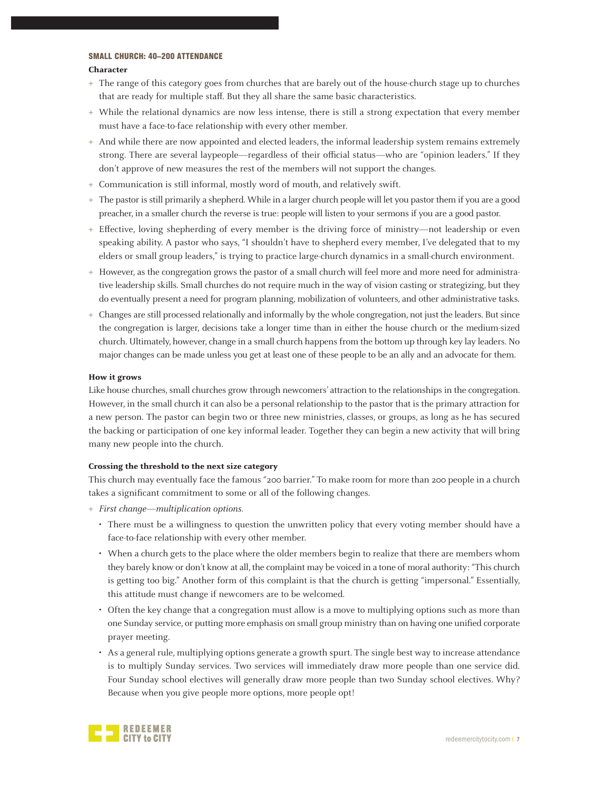# SMALL CHURCH: 40–200 ATTENDANCE

#### **Character**

- **+** The range of this category goes from churches that are barely out of the house-church stage up to churches that are ready for multiple staff. But they all share the same basic characteristics.
- **+** While the relational dynamics are now less intense, there is still a strong expectation that every member must have a face-to-face relationship with every other member.
- **+** And while there are now appointed and elected leaders, the informal leadership system remains extremely strong. There are several laypeople—regardless of their official status—who are "opinion leaders." If they don't approve of new measures the rest of the members will not support the changes.
- **+** Communication is still informal, mostly word of mouth, and relatively swift.
- **+** The pastor is still primarily a shepherd. While in a larger church people will let you pastor them if you are a good preacher, in a smaller church the reverse is true: people will listen to your sermons if you are a good pastor.
- **+** Effective, loving shepherding of every member is the driving force of ministry—not leadership or even speaking ability. A pastor who says, "I shouldn't have to shepherd every member, I've delegated that to my elders or small group leaders," is trying to practice large-church dynamics in a small-church environment.
- **+** However, as the congregation grows the pastor of a small church will feel more and more need for administrative leadership skills. Small churches do not require much in the way of vision casting or strategizing, but they do eventually present a need for program planning, mobilization of volunteers, and other administrative tasks.
- **+** Changes are still processed relationally and informally by the whole congregation, not just the leaders. But since the congregation is larger, decisions take a longer time than in either the house church or the medium-sized church. Ultimately, however, change in a small church happens from the bottom up through key lay leaders. No major changes can be made unless you get at least one of these people to be an ally and an advocate for them.

#### **How it grows**

Like house churches, small churches grow through newcomers' attraction to the relationships in the congregation. However, in the small church it can also be a personal relationship to the pastor that is the primary attraction for a new person. The pastor can begin two or three new ministries, classes, or groups, as long as he has secured the backing or participation of one key informal leader. Together they can begin a new activity that will bring many new people into the church.

#### **Crossing the threshold to the next size category**

This church may eventually face the famous "200 barrier." To make room for more than 200 people in a church takes a significant commitment to some or all of the following changes.

- **+** First change—multiplication options.
	- There must be a willingness to question the unwritten policy that every voting member should have a face-to-face relationship with every other member.
	- When a church gets to the place where the older members begin to realize that there are members whom they barely know or don't know at all, the complaint may be voiced in a tone of moral authority: "This church is getting too big." Another form of this complaint is that the church is getting "impersonal." Essentially, this attitude must change if newcomers are to be welcomed.
	- Often the key change that a congregation must allow is a move to multiplying options such as more than one Sunday service, or putting more emphasis on small group ministry than on having one unified corporate prayer meeting.
	- As a general rule, multiplying options generate a growth spurt. The single best way to increase attendance is to multiply Sunday services. Two services will immediately draw more people than one service did. Four Sunday school electives will generally draw more people than two Sunday school electives. Why? Because when you give people more options, more people opt!

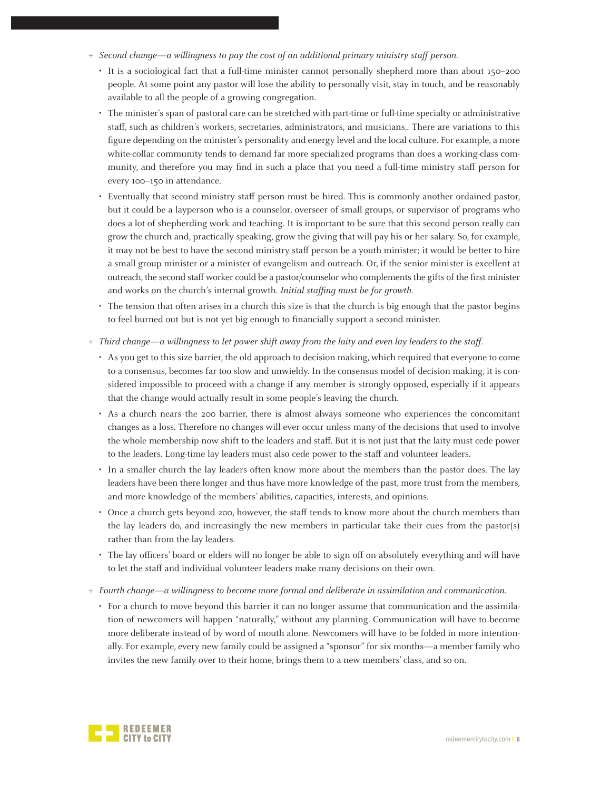- **+** Second change—a willingness to pay the cost of an additional primary ministry staff person.
	- It is a sociological fact that a full-time minister cannot personally shepherd more than about 150–200 people. At some point any pastor will lose the ability to personally visit, stay in touch, and be reasonably available to all the people of a growing congregation.
	- The minister's span of pastoral care can be stretched with part-time or full-time specialty or administrative staff, such as children's workers, secretaries, administrators, and musicians,. There are variations to this figure depending on the minister's personality and energy level and the local culture. For example, a more white-collar community tends to demand far more specialized programs than does a working-class community, and therefore you may find in such a place that you need a full-time ministry staff person for every 100–150 in attendance.
	- Eventually that second ministry staff person must be hired. This is commonly another ordained pastor, but it could be a layperson who is a counselor, overseer of small groups, or supervisor of programs who does a lot of shepherding work and teaching. It is important to be sure that this second person really can grow the church and, practically speaking, grow the giving that will pay his or her salary. So, for example, it may not be best to have the second ministry staff person be a youth minister; it would be better to hire a small group minister or a minister of evangelism and outreach. Or, if the senior minister is excellent at outreach, the second staff worker could be a pastor/counselor who complements the gifts of the first minister and works on the church's internal growth. Initial staffing must be for growth.
	- The tension that often arises in a church this size is that the church is big enough that the pastor begins to feel burned out but is not yet big enough to financially support a second minister.
- **+** Third change—a willingness to let power shift away from the laity and even lay leaders to the staff.
	- As you get to this size barrier, the old approach to decision making, which required that everyone to come to a consensus, becomes far too slow and unwieldy. In the consensus model of decision making, it is considered impossible to proceed with a change if any member is strongly opposed, especially if it appears that the change would actually result in some people's leaving the church.
	- As a church nears the 200 barrier, there is almost always someone who experiences the concomitant changes as a loss. Therefore no changes will ever occur unless many of the decisions that used to involve the whole membership now shift to the leaders and staff. But it is not just that the laity must cede power to the leaders. Long-time lay leaders must also cede power to the staff and volunteer leaders.
	- In a smaller church the lay leaders often know more about the members than the pastor does. The lay leaders have been there longer and thus have more knowledge of the past, more trust from the members, and more knowledge of the members' abilities, capacities, interests, and opinions.
	- Once a church gets beyond 200, however, the staff tends to know more about the church members than the lay leaders do, and increasingly the new members in particular take their cues from the pastor(s) rather than from the lay leaders.
	- The lay officers' board or elders will no longer be able to sign off on absolutely everything and will have to let the staff and individual volunteer leaders make many decisions on their own.
- **+** Fourth change—a willingness to become more formal and deliberate in assimilation and communication.
	- For a church to move beyond this barrier it can no longer assume that communication and the assimilation of newcomers will happen "naturally," without any planning. Communication will have to become more deliberate instead of by word of mouth alone. Newcomers will have to be folded in more intentionally. For example, every new family could be assigned a "sponsor" for six months—a member family who invites the new family over to their home, brings them to a new members' class, and so on.

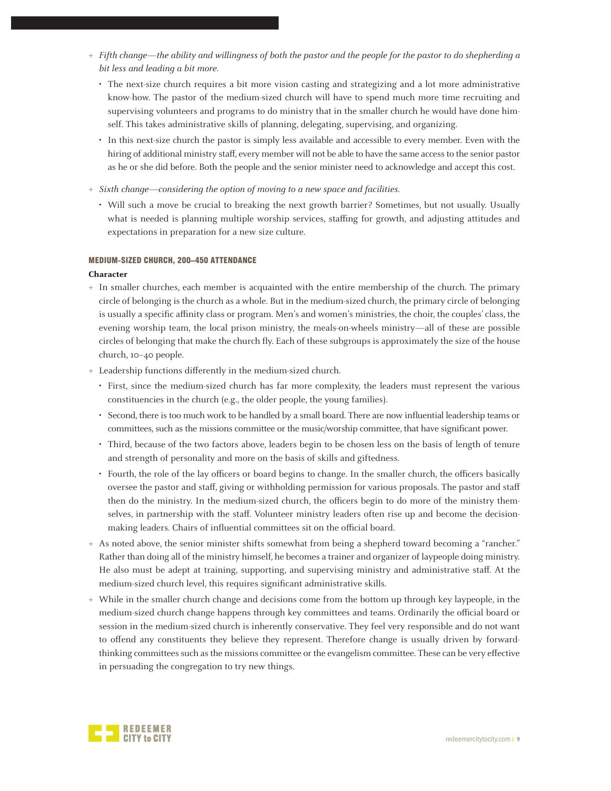- **+** Fifth change—the ability and willingness of both the pastor and the people for the pastor to do shepherding a bit less and leading a bit more.
	- The next-size church requires a bit more vision casting and strategizing and a lot more administrative know-how. The pastor of the medium-sized church will have to spend much more time recruiting and supervising volunteers and programs to do ministry that in the smaller church he would have done himself. This takes administrative skills of planning, delegating, supervising, and organizing.
	- In this next-size church the pastor is simply less available and accessible to every member. Even with the hiring of additional ministry staff, every member will not be able to have the same access to the senior pastor as he or she did before. Both the people and the senior minister need to acknowledge and accept this cost.
- **+** Sixth change—considering the option of moving to a new space and facilities.
	- Will such a move be crucial to breaking the next growth barrier? Sometimes, but not usually. Usually what is needed is planning multiple worship services, staffing for growth, and adjusting attitudes and expectations in preparation for a new size culture.

#### MEDIUM-SIZED CHURCH, 200–450 ATTENDANCE

#### **Character**

- **+** In smaller churches, each member is acquainted with the entire membership of the church. The primary circle of belonging is the church as a whole. But in the medium-sized church, the primary circle of belonging is usually a specific affinity class or program. Men's and women's ministries, the choir, the couples' class, the evening worship team, the local prison ministry, the meals-on-wheels ministry—all of these are possible circles of belonging that make the church fly. Each of these subgroups is approximately the size of the house church, 10–40 people.
- **+** Leadership functions differently in the medium-sized church.
	- First, since the medium-sized church has far more complexity, the leaders must represent the various constituencies in the church (e.g., the older people, the young families).
	- Second, there is too much work to be handled by a small board. There are now influential leadership teams or committees, such as the missions committee or the music/worship committee, that have significant power.
	- Third, because of the two factors above, leaders begin to be chosen less on the basis of length of tenure and strength of personality and more on the basis of skills and giftedness.
	- Fourth, the role of the lay officers or board begins to change. In the smaller church, the officers basically oversee the pastor and staff, giving or withholding permission for various proposals. The pastor and staff then do the ministry. In the medium-sized church, the officers begin to do more of the ministry themselves, in partnership with the staff. Volunteer ministry leaders often rise up and become the decisionmaking leaders. Chairs of influential committees sit on the official board.
- **+** As noted above, the senior minister shifts somewhat from being a shepherd toward becoming a "rancher." Rather than doing all of the ministry himself, he becomes a trainer and organizer of laypeople doing ministry. He also must be adept at training, supporting, and supervising ministry and administrative staff. At the medium-sized church level, this requires significant administrative skills.
- **+** While in the smaller church change and decisions come from the bottom up through key laypeople, in the medium-sized church change happens through key committees and teams. Ordinarily the official board or session in the medium-sized church is inherently conservative. They feel very responsible and do not want to offend any constituents they believe they represent. Therefore change is usually driven by forwardthinking committees such as the missions committee or the evangelism committee. These can be very effective in persuading the congregation to try new things.

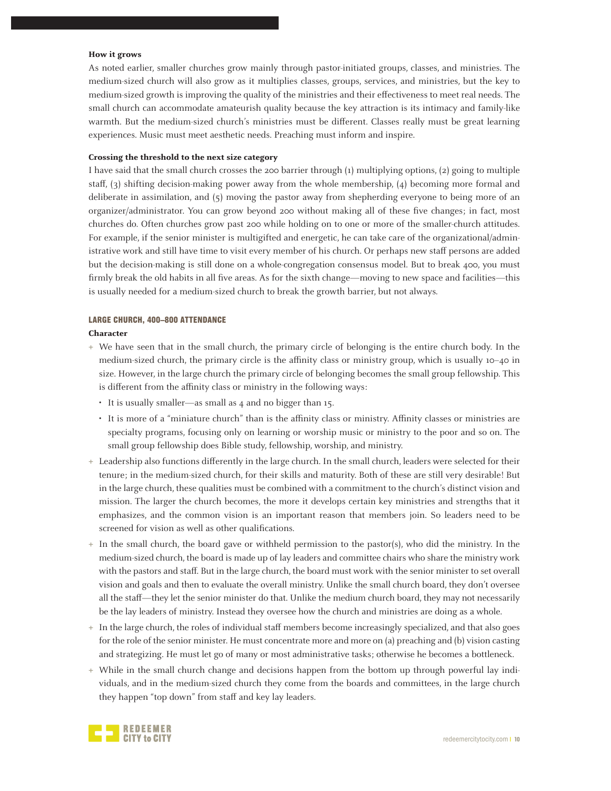#### **How it grows**

As noted earlier, smaller churches grow mainly through pastor-initiated groups, classes, and ministries. The medium-sized church will also grow as it multiplies classes, groups, services, and ministries, but the key to medium-sized growth is improving the quality of the ministries and their effectiveness to meet real needs. The small church can accommodate amateurish quality because the key attraction is its intimacy and family-like warmth. But the medium-sized church's ministries must be different. Classes really must be great learning experiences. Music must meet aesthetic needs. Preaching must inform and inspire.

#### **Crossing the threshold to the next size category**

I have said that the small church crosses the 200 barrier through (1) multiplying options, (2) going to multiple staff, (3) shifting decision-making power away from the whole membership, (4) becoming more formal and deliberate in assimilation, and (5) moving the pastor away from shepherding everyone to being more of an organizer/administrator. You can grow beyond 200 without making all of these five changes; in fact, most churches do. Often churches grow past 200 while holding on to one or more of the smaller-church attitudes. For example, if the senior minister is multigifted and energetic, he can take care of the organizational/administrative work and still have time to visit every member of his church. Or perhaps new staff persons are added but the decision-making is still done on a whole-congregation consensus model. But to break 400, you must firmly break the old habits in all five areas. As for the sixth change—moving to new space and facilities—this is usually needed for a medium-sized church to break the growth barrier, but not always.

## LARGE CHURCH, 400–800 ATTENDANCE

#### **Character**

- **+** We have seen that in the small church, the primary circle of belonging is the entire church body. In the medium-sized church, the primary circle is the affinity class or ministry group, which is usually 10–40 in size. However, in the large church the primary circle of belonging becomes the small group fellowship. This is different from the affinity class or ministry in the following ways:
	- It is usually smaller—as small as 4 and no bigger than 15.
	- It is more of a "miniature church" than is the affinity class or ministry. Affinity classes or ministries are specialty programs, focusing only on learning or worship music or ministry to the poor and so on. The small group fellowship does Bible study, fellowship, worship, and ministry.
- **+** Leadership also functions differently in the large church. In the small church, leaders were selected for their tenure; in the medium-sized church, for their skills and maturity. Both of these are still very desirable! But in the large church, these qualities must be combined with a commitment to the church's distinct vision and mission. The larger the church becomes, the more it develops certain key ministries and strengths that it emphasizes, and the common vision is an important reason that members join. So leaders need to be screened for vision as well as other qualifications.
- **+** In the small church, the board gave or withheld permission to the pastor(s), who did the ministry. In the medium-sized church, the board is made up of lay leaders and committee chairs who share the ministry work with the pastors and staff. But in the large church, the board must work with the senior minister to set overall vision and goals and then to evaluate the overall ministry. Unlike the small church board, they don't oversee all the staff—they let the senior minister do that. Unlike the medium church board, they may not necessarily be the lay leaders of ministry. Instead they oversee how the church and ministries are doing as a whole.
- **+** In the large church, the roles of individual staff members become increasingly specialized, and that also goes for the role of the senior minister. He must concentrate more and more on (a) preaching and (b) vision casting and strategizing. He must let go of many or most administrative tasks; otherwise he becomes a bottleneck.
- **+** While in the small church change and decisions happen from the bottom up through powerful lay individuals, and in the medium-sized church they come from the boards and committees, in the large church they happen "top down" from staff and key lay leaders.

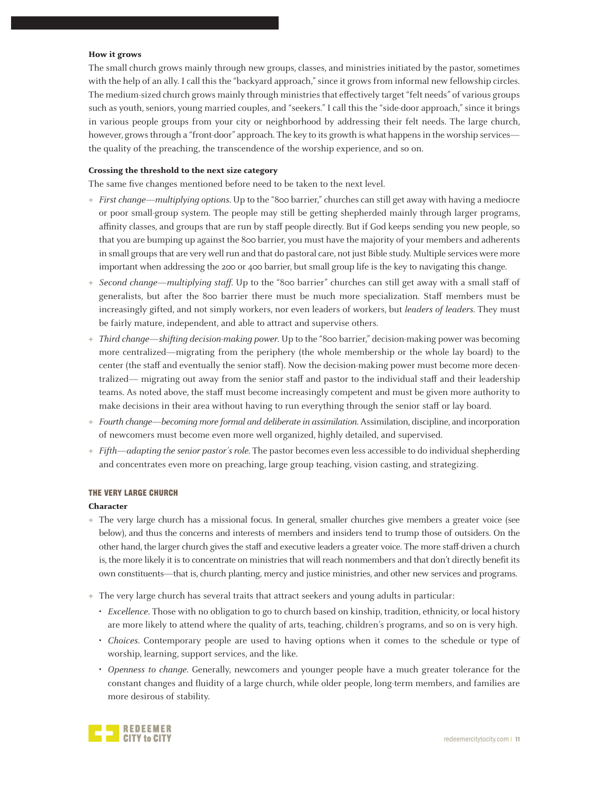#### **How it grows**

The small church grows mainly through new groups, classes, and ministries initiated by the pastor, sometimes with the help of an ally. I call this the "backyard approach," since it grows from informal new fellowship circles. The medium-sized church grows mainly through ministries that effectively target "felt needs" of various groups such as youth, seniors, young married couples, and "seekers." I call this the "side-door approach," since it brings in various people groups from your city or neighborhood by addressing their felt needs. The large church, however, grows through a "front-door" approach. The key to its growth is what happens in the worship services the quality of the preaching, the transcendence of the worship experience, and so on.

#### **Crossing the threshold to the next size category**

The same five changes mentioned before need to be taken to the next level.

- **+** First change—multiplying options. Up to the "800 barrier," churches can still get away with having a mediocre or poor small-group system. The people may still be getting shepherded mainly through larger programs, affinity classes, and groups that are run by staff people directly. But if God keeps sending you new people, so that you are bumping up against the 800 barrier, you must have the majority of your members and adherents in small groups that are very well run and that do pastoral care, not just Bible study. Multiple services were more important when addressing the 200 or 400 barrier, but small group life is the key to navigating this change.
- **+** Second change—multiplying staff. Up to the "800 barrier" churches can still get away with a small staff of generalists, but after the 800 barrier there must be much more specialization. Staff members must be increasingly gifted, and not simply workers, nor even leaders of workers, but leaders of leaders. They must be fairly mature, independent, and able to attract and supervise others.
- **+** Third change—shifting decision-making power. Up to the "800 barrier," decision-making power was becoming more centralized—migrating from the periphery (the whole membership or the whole lay board) to the center (the staff and eventually the senior staff). Now the decision-making power must become more decentralized— migrating out away from the senior staff and pastor to the individual staff and their leadership teams. As noted above, the staff must become increasingly competent and must be given more authority to make decisions in their area without having to run everything through the senior staff or lay board.
- **+** Fourth change—becoming more formal and deliberate in assimilation. Assimilation, discipline, and incorporation of newcomers must become even more well organized, highly detailed, and supervised.
- **+** Fifth—adapting the senior pastor's role. The pastor becomes even less accessible to do individual shepherding and concentrates even more on preaching, large group teaching, vision casting, and strategizing.

#### THE VERY LARGE CHURCH

#### **Character**

- **+** The very large church has a missional focus. In general, smaller churches give members a greater voice (see below), and thus the concerns and interests of members and insiders tend to trump those of outsiders. On the other hand, the larger church gives the staff and executive leaders a greater voice. The more staff-driven a church is, the more likely it is to concentrate on ministries that will reach nonmembers and that don't directly benefit its own constituents—that is, church planting, mercy and justice ministries, and other new services and programs.
- **+** The very large church has several traits that attract seekers and young adults in particular:
	- Excellence. Those with no obligation to go to church based on kinship, tradition, ethnicity, or local history are more likely to attend where the quality of arts, teaching, children's programs, and so on is very high.
	- Choices. Contemporary people are used to having options when it comes to the schedule or type of worship, learning, support services, and the like.
	- Openness to change. Generally, newcomers and younger people have a much greater tolerance for the constant changes and fluidity of a large church, while older people, long-term members, and families are more desirous of stability.

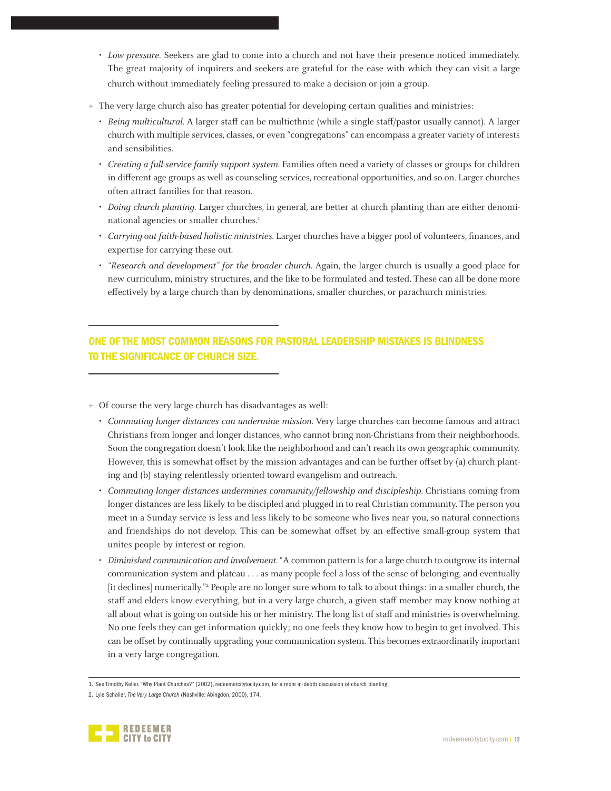- Low pressure. Seekers are glad to come into a church and not have their presence noticed immediately. The great majority of inquirers and seekers are grateful for the ease with which they can visit a large church without immediately feeling pressured to make a decision or join a group.
- **+** The very large church also has greater potential for developing certain qualities and ministries:
	- Being multicultural. A larger staff can be multiethnic (while a single staff/pastor usually cannot). A larger church with multiple services, classes, or even "congregations" can encompass a greater variety of interests and sensibilities.
	- Creating a full-service family support system. Families often need a variety of classes or groups for children in different age groups as well as counseling services, recreational opportunities, and so on. Larger churches often attract families for that reason.
	- Doing church planting. Larger churches, in general, are better at church planting than are either denominational agencies or smaller churches.<sup>1</sup>
	- Carrying out faith-based holistic ministries. Larger churches have a bigger pool of volunteers, finances, and expertise for carrying these out.
	- "Research and development" for the broader church. Again, the larger church is usually a good place for new curriculum, ministry structures, and the like to be formulated and tested. These can all be done more effectively by a large church than by denominations, smaller churches, or parachurch ministries.

# ONE OF THE MOST COMMON REASONS FOR PASTORAL LEADERSHIP MISTAKES IS BLINDNESS TO THE SIGNIFICANCE OF CHURCH SIZE.

- **+** Of course the very large church has disadvantages as well:
	- Commuting longer distances can undermine mission. Very large churches can become famous and attract Christians from longer and longer distances, who cannot bring non-Christians from their neighborhoods. Soon the congregation doesn't look like the neighborhood and can't reach its own geographic community. However, this is somewhat offset by the mission advantages and can be further offset by (a) church planting and (b) staying relentlessly oriented toward evangelism and outreach.
	- Commuting longer distances undermines community/fellowship and discipleship. Christians coming from longer distances are less likely to be discipled and plugged in to real Christian community. The person you meet in a Sunday service is less and less likely to be someone who lives near you, so natural connections and friendships do not develop. This can be somewhat offset by an effective small-group system that unites people by interest or region.
	- Diminished communication and involvement. "A common pattern is for a large church to outgrow its internal communication system and plateau . . . as many people feel a loss of the sense of belonging, and eventually [it declines] numerically."<sup>2</sup> People are no longer sure whom to talk to about things: in a smaller church, the staff and elders know everything, but in a very large church, a given staff member may know nothing at all about what is going on outside his or her ministry. The long list of staff and ministries is overwhelming. No one feels they can get information quickly; no one feels they know how to begin to get involved. This can be offset by continually upgrading your communication system. This becomes extraordinarily important in a very large congregation.

<sup>2.</sup> Lyle Schaller, The Very Large Church (Nashville: Abingdon, 2000), 174.



<sup>1.</sup> See Timothy Keller, "Why Plant Churches?" (2002), redeemercitytocity.com, for a more in-depth discussion of church planting.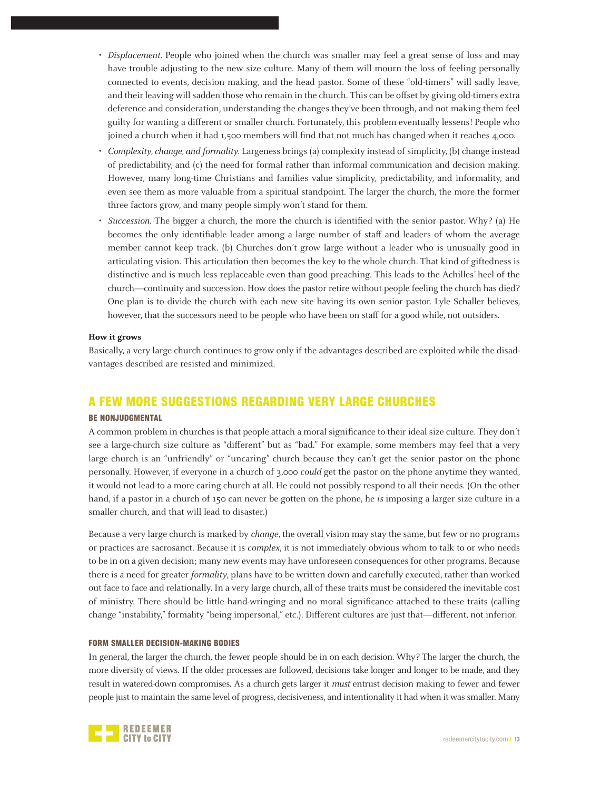- Displacement. People who joined when the church was smaller may feel a great sense of loss and may have trouble adjusting to the new size culture. Many of them will mourn the loss of feeling personally connected to events, decision making, and the head pastor. Some of these "old-timers" will sadly leave, and their leaving will sadden those who remain in the church. This can be offset by giving old-timers extra deference and consideration, understanding the changes they've been through, and not making them feel guilty for wanting a different or smaller church. Fortunately, this problem eventually lessens! People who joined a church when it had 1,500 members will find that not much has changed when it reaches 4,000.
- Complexity, change, and formality. Largeness brings (a) complexity instead of simplicity, (b) change instead of predictability, and (c) the need for formal rather than informal communication and decision making. However, many long-time Christians and families value simplicity, predictability, and informality, and even see them as more valuable from a spiritual standpoint. The larger the church, the more the former three factors grow, and many people simply won't stand for them.
- Succession. The bigger a church, the more the church is identified with the senior pastor. Why? (a) He becomes the only identifiable leader among a large number of staff and leaders of whom the average member cannot keep track. (b) Churches don't grow large without a leader who is unusually good in articulating vision. This articulation then becomes the key to the whole church. That kind of giftedness is distinctive and is much less replaceable even than good preaching. This leads to the Achilles' heel of the church—continuity and succession. How does the pastor retire without people feeling the church has died? One plan is to divide the church with each new site having its own senior pastor. Lyle Schaller believes, however, that the successors need to be people who have been on staff for a good while, not outsiders.

#### **How it grows**

Basically, a very large church continues to grow only if the advantages described are exploited while the disadvantages described are resisted and minimized.

# A FEW MORE SUGGESTIONS REGARDING VERY LARGE CHURCHES

#### BE NONJUDGMENTAL

A common problem in churches is that people attach a moral significance to their ideal size culture. They don't see a large-church size culture as "different" but as "bad." For example, some members may feel that a very large church is an "unfriendly" or "uncaring" church because they can't get the senior pastor on the phone personally. However, if everyone in a church of 3,000 could get the pastor on the phone anytime they wanted, it would not lead to a more caring church at all. He could not possibly respond to all their needs. (On the other hand, if a pastor in a church of 150 can never be gotten on the phone, he is imposing a larger size culture in a smaller church, and that will lead to disaster.)

Because a very large church is marked by change, the overall vision may stay the same, but few or no programs or practices are sacrosanct. Because it is complex, it is not immediately obvious whom to talk to or who needs to be in on a given decision; many new events may have unforeseen consequences for other programs. Because there is a need for greater formality, plans have to be written down and carefully executed, rather than worked out face to face and relationally. In a very large church, all of these traits must be considered the inevitable cost of ministry. There should be little hand-wringing and no moral significance attached to these traits (calling change "instability," formality "being impersonal," etc.). Different cultures are just that—different, not inferior.

#### FORM SMALLER DECISION-MAKING BODIES

In general, the larger the church, the fewer people should be in on each decision. Why? The larger the church, the more diversity of views. If the older processes are followed, decisions take longer and longer to be made, and they result in watered-down compromises. As a church gets larger it must entrust decision making to fewer and fewer people just to maintain the same level of progress, decisiveness, and intentionality it had when it was smaller. Many

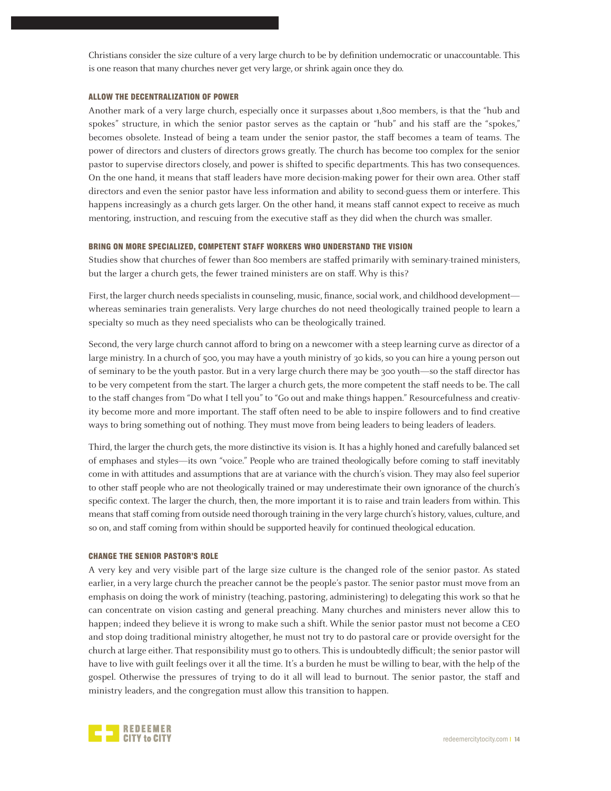Christians consider the size culture of a very large church to be by definition undemocratic or unaccountable. This is one reason that many churches never get very large, or shrink again once they do.

#### ALLOW THE DECENTRALIZATION OF POWER

Another mark of a very large church, especially once it surpasses about 1,800 members, is that the "hub and spokes" structure, in which the senior pastor serves as the captain or "hub" and his staff are the "spokes," becomes obsolete. Instead of being a team under the senior pastor, the staff becomes a team of teams. The power of directors and clusters of directors grows greatly. The church has become too complex for the senior pastor to supervise directors closely, and power is shifted to specific departments. This has two consequences. On the one hand, it means that staff leaders have more decision-making power for their own area. Other staff directors and even the senior pastor have less information and ability to second-guess them or interfere. This happens increasingly as a church gets larger. On the other hand, it means staff cannot expect to receive as much mentoring, instruction, and rescuing from the executive staff as they did when the church was smaller.

#### BRING ON MORE SPECIALIZED, COMPETENT STAFF WORKERS WHO UNDERSTAND THE VISION

Studies show that churches of fewer than 800 members are staffed primarily with seminary-trained ministers, but the larger a church gets, the fewer trained ministers are on staff. Why is this?

First, the larger church needs specialists in counseling, music, finance, social work, and childhood development whereas seminaries train generalists. Very large churches do not need theologically trained people to learn a specialty so much as they need specialists who can be theologically trained.

Second, the very large church cannot afford to bring on a newcomer with a steep learning curve as director of a large ministry. In a church of 500, you may have a youth ministry of 30 kids, so you can hire a young person out of seminary to be the youth pastor. But in a very large church there may be 300 youth—so the staff director has to be very competent from the start. The larger a church gets, the more competent the staff needs to be. The call to the staff changes from "Do what I tell you" to "Go out and make things happen." Resourcefulness and creativity become more and more important. The staff often need to be able to inspire followers and to find creative ways to bring something out of nothing. They must move from being leaders to being leaders of leaders.

Third, the larger the church gets, the more distinctive its vision is. It has a highly honed and carefully balanced set of emphases and styles—its own "voice." People who are trained theologically before coming to staff inevitably come in with attitudes and assumptions that are at variance with the church's vision. They may also feel superior to other staff people who are not theologically trained or may underestimate their own ignorance of the church's specific context. The larger the church, then, the more important it is to raise and train leaders from within. This means that staff coming from outside need thorough training in the very large church's history, values, culture, and so on, and staff coming from within should be supported heavily for continued theological education.

#### CHANGE THE SENIOR PASTOR'S ROLE

A very key and very visible part of the large size culture is the changed role of the senior pastor. As stated earlier, in a very large church the preacher cannot be the people's pastor. The senior pastor must move from an emphasis on doing the work of ministry (teaching, pastoring, administering) to delegating this work so that he can concentrate on vision casting and general preaching. Many churches and ministers never allow this to happen; indeed they believe it is wrong to make such a shift. While the senior pastor must not become a CEO and stop doing traditional ministry altogether, he must not try to do pastoral care or provide oversight for the church at large either. That responsibility must go to others. This is undoubtedly difficult; the senior pastor will have to live with guilt feelings over it all the time. It's a burden he must be willing to bear, with the help of the gospel. Otherwise the pressures of trying to do it all will lead to burnout. The senior pastor, the staff and ministry leaders, and the congregation must allow this transition to happen.